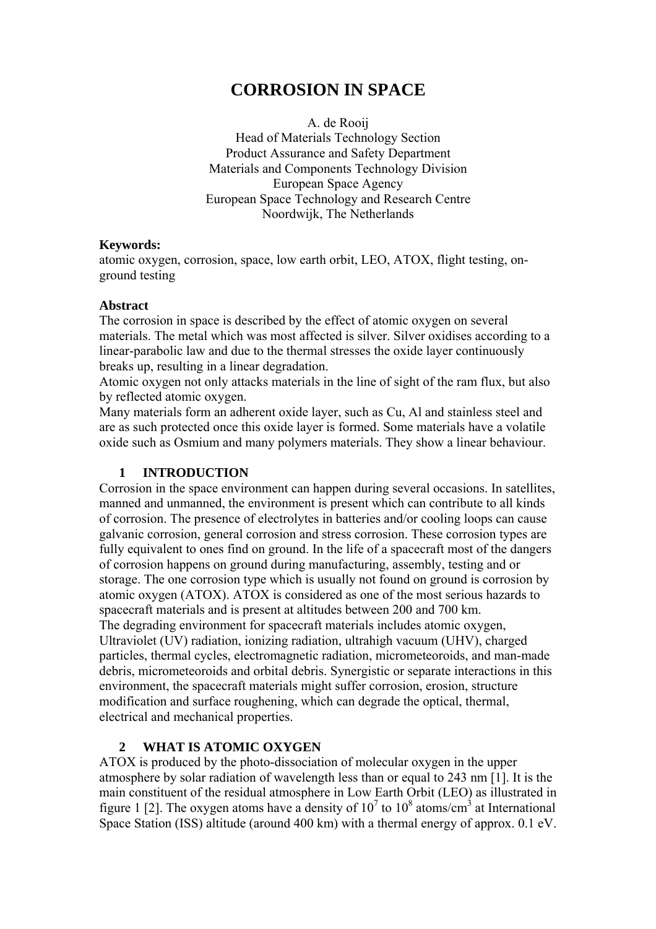# **CORROSION IN SPACE**

A. de Rooij Head of Materials Technology Section Product Assurance and Safety Department Materials and Components Technology Division European Space Agency European Space Technology and Research Centre Noordwijk, The Netherlands

#### **Keywords:**

atomic oxygen, corrosion, space, low earth orbit, LEO, ATOX, flight testing, onground testing

#### **Abstract**

The corrosion in space is described by the effect of atomic oxygen on several materials. The metal which was most affected is silver. Silver oxidises according to a linear-parabolic law and due to the thermal stresses the oxide layer continuously breaks up, resulting in a linear degradation.

Atomic oxygen not only attacks materials in the line of sight of the ram flux, but also by reflected atomic oxygen.

Many materials form an adherent oxide layer, such as Cu, Al and stainless steel and are as such protected once this oxide layer is formed. Some materials have a volatile oxide such as Osmium and many polymers materials. They show a linear behaviour.

#### **1 INTRODUCTION**

Corrosion in the space environment can happen during several occasions. In satellites, manned and unmanned, the environment is present which can contribute to all kinds of corrosion. The presence of electrolytes in batteries and/or cooling loops can cause galvanic corrosion, general corrosion and stress corrosion. These corrosion types are fully equivalent to ones find on ground. In the life of a spacecraft most of the dangers of corrosion happens on ground during manufacturing, assembly, testing and or storage. The one corrosion type which is usually not found on ground is corrosion by atomic oxygen (ATOX). ATOX is considered as one of the most serious hazards to spacecraft materials and is present at altitudes between 200 and 700 km. The degrading environment for spacecraft materials includes atomic oxygen, Ultraviolet (UV) radiation, ionizing radiation, ultrahigh vacuum (UHV), charged particles, thermal cycles, electromagnetic radiation, micrometeoroids, and man-made debris, micrometeoroids and orbital debris. Synergistic or separate interactions in this environment, the spacecraft materials might suffer corrosion, erosion, structure modification and surface roughening, which can degrade the optical, thermal, electrical and mechanical properties.

### **2 WHAT IS ATOMIC OXYGEN**

ATOX is produced by the photo-dissociation of molecular oxygen in the upper atmosphere by solar radiation of wavelength less than or equal to 243 nm [1]. It is the main constituent of the residual atmosphere in Low Earth Orbit (LEO) as illustrated in figure 1 [2]. The oxygen atoms have a density of  $10^7$  to  $10^8$  atoms/cm<sup>3</sup> at International Space Station (ISS) altitude (around 400 km) with a thermal energy of approx. 0.1 eV.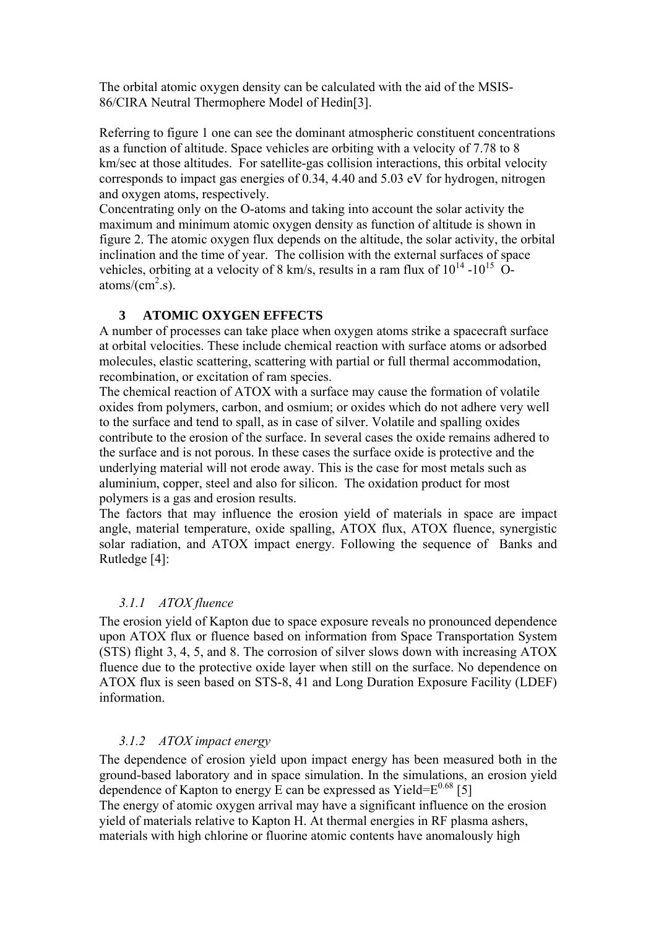The orbital atomic oxygen density can be calculated with the aid of the MSIS-86/CIRA Neutral Thermophere Model of Hedin[3].

Referring to figure 1 one can see the dominant atmospheric constituent concentrations as a function of altitude. Space vehicles are orbiting with a velocity of 7.78 to 8 km/sec at those altitudes. For satellite-gas collision interactions, this orbital velocity corresponds to impact gas energies of 0.34, 4.40 and 5.03 eV for hydrogen, nitrogen and oxygen atoms, respectively.

Concentrating only on the O-atoms and taking into account the solar activity the maximum and minimum atomic oxygen density as function of altitude is shown in figure 2. The atomic oxygen flux depends on the altitude, the solar activity, the orbital inclination and the time of year. The collision with the external surfaces of space vehicles, orbiting at a velocity of 8 km/s, results in a ram flux of  $10^{14}$  - $10^{15}$  Oatoms/ $\text{(cm}^2\text{.s})$ .

#### **3 ATOMIC OXYGEN EFFECTS**

A number of processes can take place when oxygen atoms strike a spacecraft surface at orbital velocities. These include chemical reaction with surface atoms or adsorbed molecules, elastic scattering, scattering with partial or full thermal accommodation, recombination, or excitation of ram species.

The chemical reaction of ATOX with a surface may cause the formation of volatile oxides from polymers, carbon, and osmium; or oxides which do not adhere very well to the surface and tend to spall, as in case of silver. Volatile and spalling oxides contribute to the erosion of the surface. In several cases the oxide remains adhered to the surface and is not porous. In these cases the surface oxide is protective and the underlying material will not erode away. This is the case for most metals such as aluminium, copper, steel and also for silicon. The oxidation product for most polymers is a gas and erosion results.

The factors that may influence the erosion yield of materials in space are impact angle, material temperature, oxide spalling, ATOX flux, ATOX fluence, synergistic solar radiation, and ATOX impact energy. Following the sequence of Banks and Rutledge [4]:

### *3.1.1 ATOX fluence*

The erosion yield of Kapton due to space exposure reveals no pronounced dependence upon ATOX flux or fluence based on information from Space Transportation System (STS) flight 3, 4, 5, and 8. The corrosion of silver slows down with increasing ATOX fluence due to the protective oxide layer when still on the surface. No dependence on ATOX flux is seen based on STS-8, 41 and Long Duration Exposure Facility (LDEF) information.

#### *3.1.2 ATOX impact energy*

The dependence of erosion yield upon impact energy has been measured both in the ground-based laboratory and in space simulation. In the simulations, an erosion yield dependence of Kapton to energy  $\bar{E}$  can be expressed as Yield= $E^{0.68}$  [5]

The energy of atomic oxygen arrival may have a significant influence on the erosion yield of materials relative to Kapton H. At thermal energies in RF plasma ashers, materials with high chlorine or fluorine atomic contents have anomalously high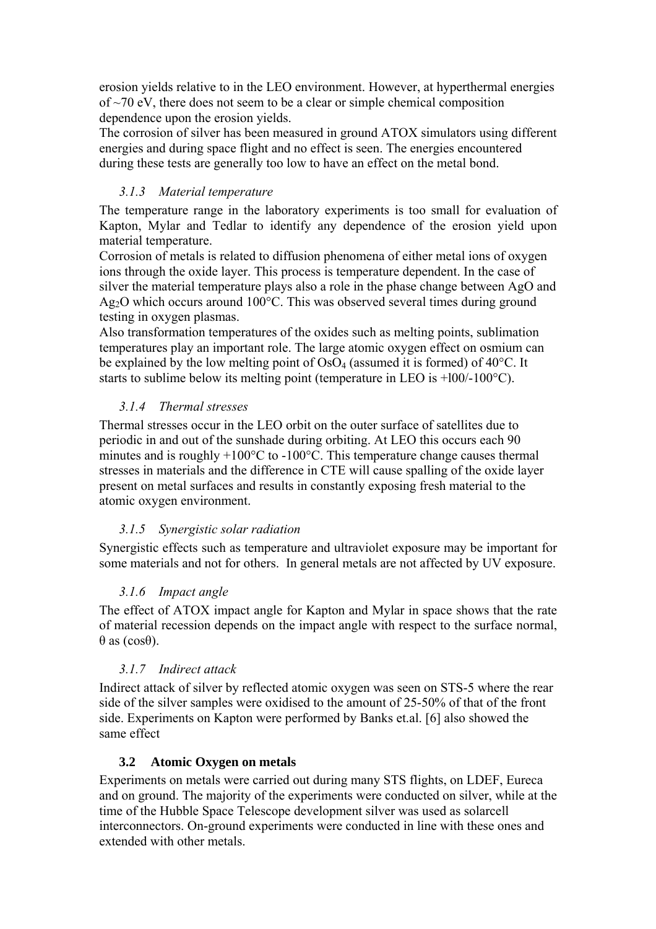erosion yields relative to in the LEO environment. However, at hyperthermal energies of  $\sim$ 70 eV, there does not seem to be a clear or simple chemical composition dependence upon the erosion yields.

The corrosion of silver has been measured in ground ATOX simulators using different energies and during space flight and no effect is seen. The energies encountered during these tests are generally too low to have an effect on the metal bond.

#### *3.1.3 Material temperature*

The temperature range in the laboratory experiments is too small for evaluation of Kapton, Mylar and Tedlar to identify any dependence of the erosion yield upon material temperature.

Corrosion of metals is related to diffusion phenomena of either metal ions of oxygen ions through the oxide layer. This process is temperature dependent. In the case of silver the material temperature plays also a role in the phase change between AgO and Ag2O which occurs around 100°C. This was observed several times during ground testing in oxygen plasmas.

Also transformation temperatures of the oxides such as melting points, sublimation temperatures play an important role. The large atomic oxygen effect on osmium can be explained by the low melting point of  $OsO<sub>4</sub>$  (assumed it is formed) of 40 $°C$ . It starts to sublime below its melting point (temperature in LEO is +l00/-100°C).

#### *3.1.4 Thermal stresses*

Thermal stresses occur in the LEO orbit on the outer surface of satellites due to periodic in and out of the sunshade during orbiting. At LEO this occurs each 90 minutes and is roughly +100°C to -100°C. This temperature change causes thermal stresses in materials and the difference in CTE will cause spalling of the oxide layer present on metal surfaces and results in constantly exposing fresh material to the atomic oxygen environment.

### *3.1.5 Synergistic solar radiation*

Synergistic effects such as temperature and ultraviolet exposure may be important for some materials and not for others. In general metals are not affected by UV exposure.

### *3.1.6 Impact angle*

The effect of ATOX impact angle for Kapton and Mylar in space shows that the rate of material recession depends on the impact angle with respect to the surface normal, θ as (cosθ).

### *3.1.7 Indirect attack*

Indirect attack of silver by reflected atomic oxygen was seen on STS-5 where the rear side of the silver samples were oxidised to the amount of 25-50% of that of the front side. Experiments on Kapton were performed by Banks et.al. [6] also showed the same effect

#### **3.2 Atomic Oxygen on metals**

Experiments on metals were carried out during many STS flights, on LDEF, Eureca and on ground. The majority of the experiments were conducted on silver, while at the time of the Hubble Space Telescope development silver was used as solarcell interconnectors. On-ground experiments were conducted in line with these ones and extended with other metals.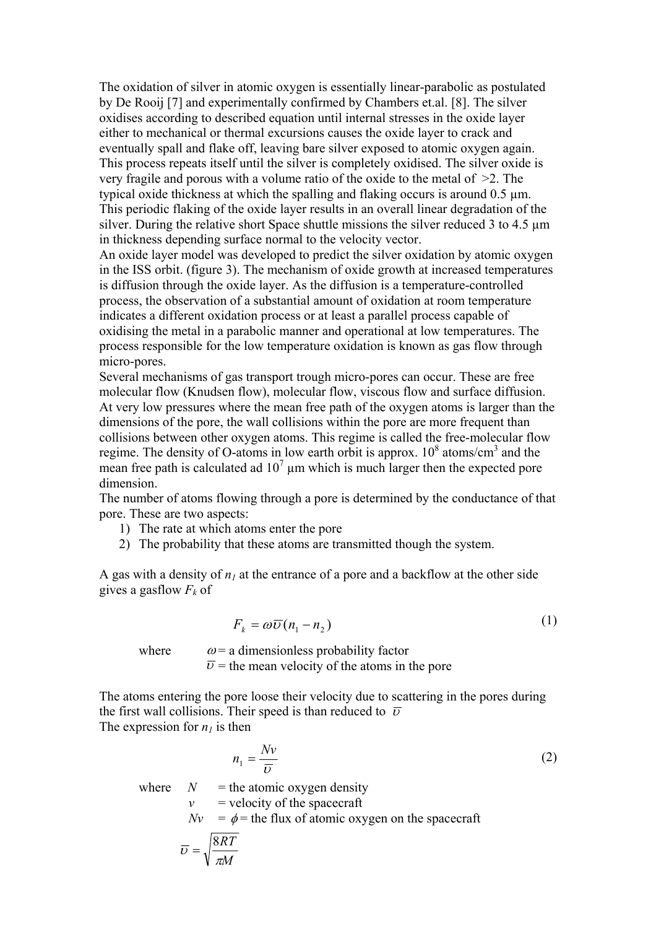The oxidation of silver in atomic oxygen is essentially linear-parabolic as postulated by De Rooij [7] and experimentally confirmed by Chambers et.al. [8]. The silver oxidises according to described equation until internal stresses in the oxide layer either to mechanical or thermal excursions causes the oxide layer to crack and eventually spall and flake off, leaving bare silver exposed to atomic oxygen again. This process repeats itself until the silver is completely oxidised. The silver oxide is very fragile and porous with a volume ratio of the oxide to the metal of >2. The typical oxide thickness at which the spalling and flaking occurs is around 0.5 µm. This periodic flaking of the oxide layer results in an overall linear degradation of the silver. During the relative short Space shuttle missions the silver reduced 3 to 4.5 um in thickness depending surface normal to the velocity vector.

An oxide layer model was developed to predict the silver oxidation by atomic oxygen in the ISS orbit. (figure 3). The mechanism of oxide growth at increased temperatures is diffusion through the oxide layer. As the diffusion is a temperature-controlled process, the observation of a substantial amount of oxidation at room temperature indicates a different oxidation process or at least a parallel process capable of oxidising the metal in a parabolic manner and operational at low temperatures. The process responsible for the low temperature oxidation is known as gas flow through micro-pores.

Several mechanisms of gas transport trough micro-pores can occur. These are free molecular flow (Knudsen flow), molecular flow, viscous flow and surface diffusion. At very low pressures where the mean free path of the oxygen atoms is larger than the dimensions of the pore, the wall collisions within the pore are more frequent than collisions between other oxygen atoms. This regime is called the free-molecular flow regime. The density of O-atoms in low earth orbit is approx.  $10^8$  atoms/cm<sup>3</sup> and the mean free path is calculated ad  $10^7$  µm which is much larger then the expected pore dimension.

The number of atoms flowing through a pore is determined by the conductance of that pore. These are two aspects:

- 1) The rate at which atoms enter the pore
- 2) The probability that these atoms are transmitted though the system.

A gas with a density of  $n_1$  at the entrance of a pore and a backflow at the other side gives a gasflow  $F_k$  of

$$
F_k = \omega \overline{\upsilon} (n_1 - n_2) \tag{1}
$$

 $(1)$ 

where  $\omega$  = a dimensionless probability factor  $\overline{v}$  = the mean velocity of the atoms in the pore

The atoms entering the pore loose their velocity due to scattering in the pores during the first wall collisions. Their speed is than reduced to  $\bar{\nu}$ The expression for  $n_l$  is then

where 
$$
n_1 = \frac{Nv}{\overline{v}}
$$
  
\nwhere 
$$
N = \text{the atomic oxygen density}
$$

$$
v = \text{velocity of the spacecraft}
$$

$$
Nv = \phi = \text{the flux of atomic oxygen on the spacecraft}
$$

$$
\overline{v} = \sqrt{\frac{8RT}{\pi M}}
$$
 (2)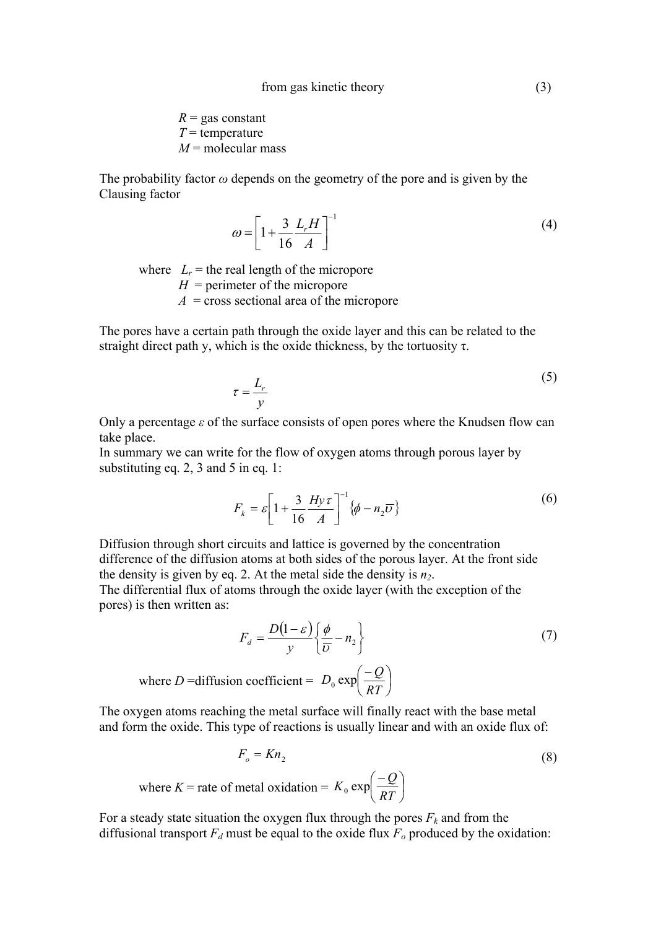$R =$  gas constant  $T =$  temperature  $M$  = molecular mass

The probability factor *ω* depends on the geometry of the pore and is given by the Clausing factor

$$
\omega = \left[1 + \frac{3}{16} \frac{L_r H}{A}\right]^{-1} \tag{4}
$$

where  $L_r$  = the real length of the micropore  $H =$  perimeter of the micropore  $A = \text{cross sectional area of the micropore}$ 

The pores have a certain path through the oxide layer and this can be related to the straight direct path y, which is the oxide thickness, by the tortuosity  $\tau$ .

$$
\tau = \frac{L_r}{y}
$$
 (5)

Only a percentage  $\varepsilon$  of the surface consists of open pores where the Knudsen flow can take place.

In summary we can write for the flow of oxygen atoms through porous layer by substituting eq. 2, 3 and 5 in eq. 1:

$$
F_k = \varepsilon \left[ 1 + \frac{3}{16} \frac{H y \tau}{A} \right]^{-1} \{ \phi - n_2 \overline{\upsilon} \}
$$
 (6)

Diffusion through short circuits and lattice is governed by the concentration difference of the diffusion atoms at both sides of the porous layer. At the front side the density is given by eq. 2. At the metal side the density is  $n_2$ .

The differential flux of atoms through the oxide layer (with the exception of the pores) is then written as:

$$
F_d = \frac{D(1 - \varepsilon)}{y} \left\{ \frac{\phi}{\overline{U}} - n_2 \right\}
$$
  
where  $D$  =diffusion coefficient =  $D_0 \exp\left(\frac{-Q}{RT}\right)$  (7)

The oxygen atoms reaching the metal surface will finally react with the base metal and form the oxide. This type of reactions is usually linear and with an oxide flux of:

$$
F_o = Kn_2
$$
\nwhere  $K$  = rate of metal oxidation =  $K_0 \exp\left(\frac{-Q}{RT}\right)$ 

\n(8)

For a steady state situation the oxygen flux through the pores  $F_k$  and from the diffusional transport  $F_d$  must be equal to the oxide flux  $F_o$  produced by the oxidation: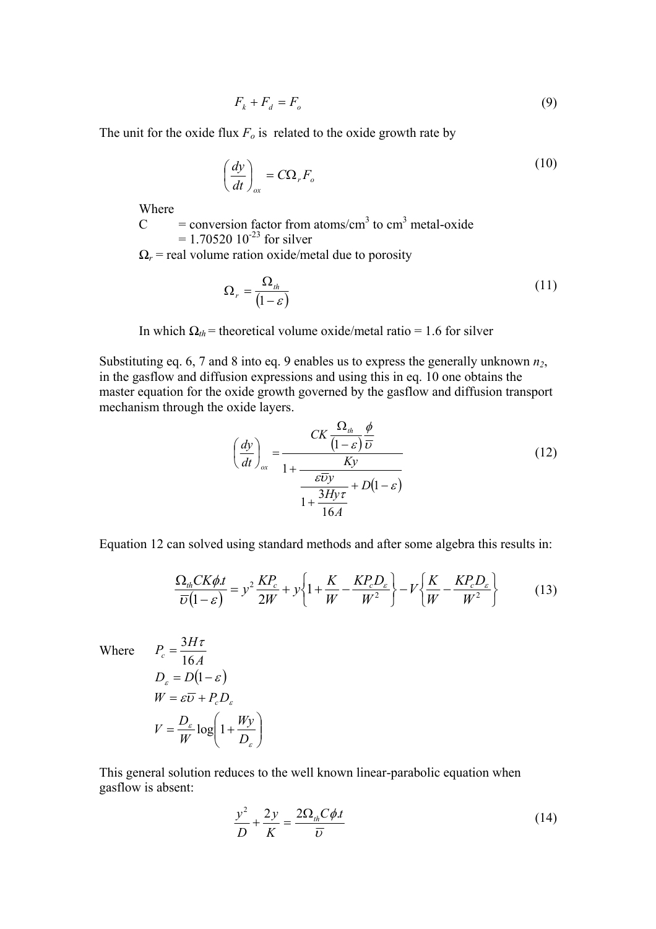$$
F_k + F_d = F_o \tag{9}
$$

The unit for the oxide flux  $F<sub>o</sub>$  is related to the oxide growth rate by

$$
\left(\frac{dy}{dt}\right)_{ox} = C\Omega_r F_o \tag{10}
$$

Where

 $C =$  conversion factor from atoms/cm<sup>3</sup> to cm<sup>3</sup> metal-oxide  $= 1.70520 10^{-23}$  for silver

 $Q_r$  = real volume ration oxide/metal due to porosity

$$
\Omega_r = \frac{\Omega_{th}}{\left(1 - \varepsilon\right)}\tag{11}
$$

In which  $\Omega_{th}$  = theoretical volume oxide/metal ratio = 1.6 for silver

Substituting eq. 6, 7 and 8 into eq. 9 enables us to express the generally unknown *n2*, in the gasflow and diffusion expressions and using this in eq. 10 one obtains the master equation for the oxide growth governed by the gasflow and diffusion transport mechanism through the oxide layers.

$$
\left(\frac{dy}{dt}\right)_{ox} = \frac{CK\frac{\Omega_{th}}{(1-\varepsilon)}\frac{\phi}{U}}{1+\frac{EV}{\frac{\varepsilon\overline{U}y}{1+\frac{3Hy\tau}{16A}} + D(1-\varepsilon)}}\tag{12}
$$

Equation 12 can solved using standard methods and after some algebra this results in:

$$
\frac{\Omega_{th}CK\phi.t}{\overline{\upsilon}(1-\varepsilon)} = y^2 \frac{KP_c}{2W} + y \left\{ 1 + \frac{K}{W} - \frac{KP_cD_{\varepsilon}}{W^2} \right\} - V \left\{ \frac{K}{W} - \frac{KP_cD_{\varepsilon}}{W^2} \right\} \tag{13}
$$

Where

$$
P_c = \frac{3H\tau}{16A}
$$
  
\n
$$
D_{\varepsilon} = D(1 - \varepsilon)
$$
  
\n
$$
W = \varepsilon \overline{v} + P_c D_{\varepsilon}
$$
  
\n
$$
V = \frac{D_{\varepsilon}}{W} \log \left(1 + \frac{Wy}{D_{\varepsilon}}\right)
$$

This general solution reduces to the well known linear-parabolic equation when gasflow is absent:

$$
\frac{y^2}{D} + \frac{2y}{K} = \frac{2\Omega_{th}C\phi.t}{\overline{U}}
$$
\n(14)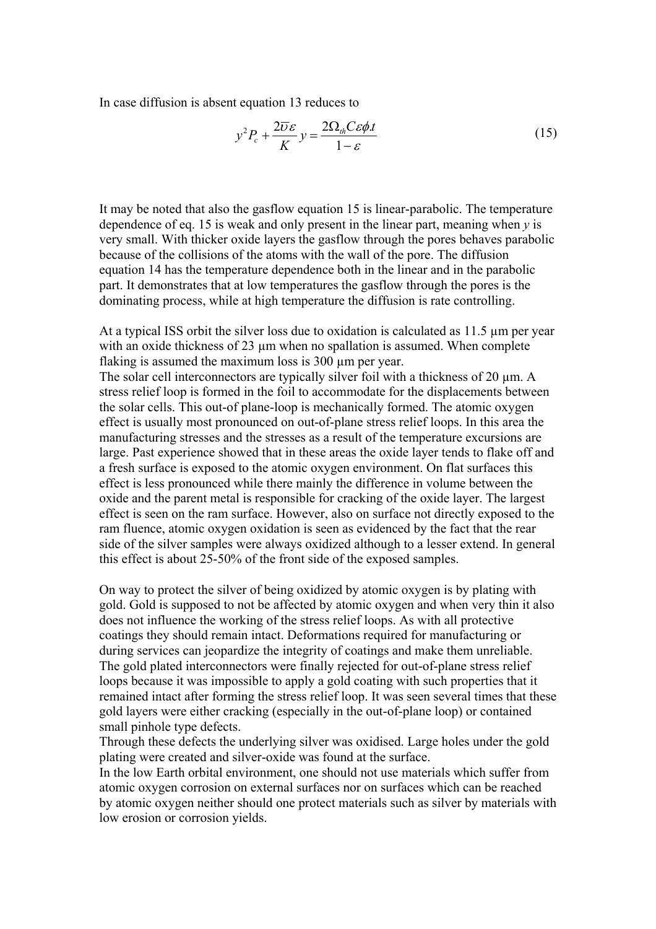In case diffusion is absent equation 13 reduces to

$$
y^2 P_c + \frac{2\overline{\nu}\varepsilon}{K} y = \frac{2\Omega_{th} C \varepsilon \phi \cdot t}{1 - \varepsilon} \tag{15}
$$

It may be noted that also the gasflow equation 15 is linear-parabolic. The temperature dependence of eq. 15 is weak and only present in the linear part, meaning when *y* is very small. With thicker oxide layers the gasflow through the pores behaves parabolic because of the collisions of the atoms with the wall of the pore. The diffusion equation 14 has the temperature dependence both in the linear and in the parabolic part. It demonstrates that at low temperatures the gasflow through the pores is the dominating process, while at high temperature the diffusion is rate controlling.

At a typical ISS orbit the silver loss due to oxidation is calculated as 11.5  $\mu$ m per year with an oxide thickness of 23 um when no spallation is assumed. When complete flaking is assumed the maximum loss is 300  $\mu$ m per year.

The solar cell interconnectors are typically silver foil with a thickness of 20  $\mu$ m. A stress relief loop is formed in the foil to accommodate for the displacements between the solar cells. This out-of plane-loop is mechanically formed. The atomic oxygen effect is usually most pronounced on out-of-plane stress relief loops. In this area the manufacturing stresses and the stresses as a result of the temperature excursions are large. Past experience showed that in these areas the oxide layer tends to flake off and a fresh surface is exposed to the atomic oxygen environment. On flat surfaces this effect is less pronounced while there mainly the difference in volume between the oxide and the parent metal is responsible for cracking of the oxide layer. The largest effect is seen on the ram surface. However, also on surface not directly exposed to the ram fluence, atomic oxygen oxidation is seen as evidenced by the fact that the rear side of the silver samples were always oxidized although to a lesser extend. In general this effect is about 25-50% of the front side of the exposed samples.

On way to protect the silver of being oxidized by atomic oxygen is by plating with gold. Gold is supposed to not be affected by atomic oxygen and when very thin it also does not influence the working of the stress relief loops. As with all protective coatings they should remain intact. Deformations required for manufacturing or during services can jeopardize the integrity of coatings and make them unreliable. The gold plated interconnectors were finally rejected for out-of-plane stress relief loops because it was impossible to apply a gold coating with such properties that it remained intact after forming the stress relief loop. It was seen several times that these gold layers were either cracking (especially in the out-of-plane loop) or contained small pinhole type defects.

Through these defects the underlying silver was oxidised. Large holes under the gold plating were created and silver-oxide was found at the surface.

In the low Earth orbital environment, one should not use materials which suffer from atomic oxygen corrosion on external surfaces nor on surfaces which can be reached by atomic oxygen neither should one protect materials such as silver by materials with low erosion or corrosion yields.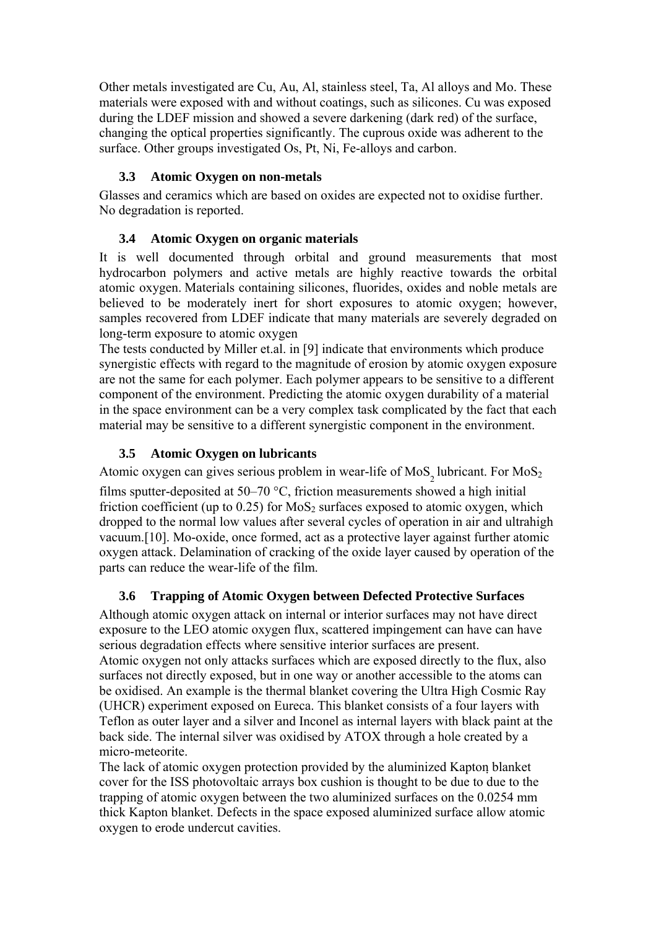Other metals investigated are Cu, Au, Al, stainless steel, Ta, Al alloys and Mo. These materials were exposed with and without coatings, such as silicones. Cu was exposed during the LDEF mission and showed a severe darkening (dark red) of the surface, changing the optical properties significantly. The cuprous oxide was adherent to the surface. Other groups investigated Os, Pt, Ni, Fe-alloys and carbon.

## **3.3 Atomic Oxygen on non-metals**

Glasses and ceramics which are based on oxides are expected not to oxidise further. No degradation is reported.

# **3.4 Atomic Oxygen on organic materials**

It is well documented through orbital and ground measurements that most hydrocarbon polymers and active metals are highly reactive towards the orbital atomic oxygen. Materials containing silicones, fluorides, oxides and noble metals are believed to be moderately inert for short exposures to atomic oxygen; however, samples recovered from LDEF indicate that many materials are severely degraded on long-term exposure to atomic oxygen

The tests conducted by Miller et.al. in [9] indicate that environments which produce synergistic effects with regard to the magnitude of erosion by atomic oxygen exposure are not the same for each polymer. Each polymer appears to be sensitive to a different component of the environment. Predicting the atomic oxygen durability of a material in the space environment can be a very complex task complicated by the fact that each material may be sensitive to a different synergistic component in the environment.

# **3.5 Atomic Oxygen on lubricants**

Atomic oxygen can gives serious problem in wear-life of  $MoS<sub>2</sub>$  lubricant. For  $MoS<sub>2</sub>$ films sputter-deposited at 50–70 °C, friction measurements showed a high initial friction coefficient (up to  $0.25$ ) for MoS<sub>2</sub> surfaces exposed to atomic oxygen, which dropped to the normal low values after several cycles of operation in air and ultrahigh vacuum.[10]. Mo-oxide, once formed, act as a protective layer against further atomic oxygen attack. Delamination of cracking of the oxide layer caused by operation of the parts can reduce the wear-life of the film.

# **3.6 Trapping of Atomic Oxygen between Defected Protective Surfaces**

Although atomic oxygen attack on internal or interior surfaces may not have direct exposure to the LEO atomic oxygen flux, scattered impingement can have can have serious degradation effects where sensitive interior surfaces are present. Atomic oxygen not only attacks surfaces which are exposed directly to the flux, also surfaces not directly exposed, but in one way or another accessible to the atoms can be oxidised. An example is the thermal blanket covering the Ultra High Cosmic Ray (UHCR) experiment exposed on Eureca. This blanket consists of a four layers with Teflon as outer layer and a silver and Inconel as internal layers with black paint at the back side. The internal silver was oxidised by ATOX through a hole created by a micro-meteorite.

The lack of atomic oxygen protection provided by the aluminized Kapton blanket cover for the ISS photovoltaic arrays box cushion is thought to be due to due to the trapping of atomic oxygen between the two aluminized surfaces on the 0.0254 mm thick Kapton blanket. Defects in the space exposed aluminized surface allow atomic oxygen to erode undercut cavities.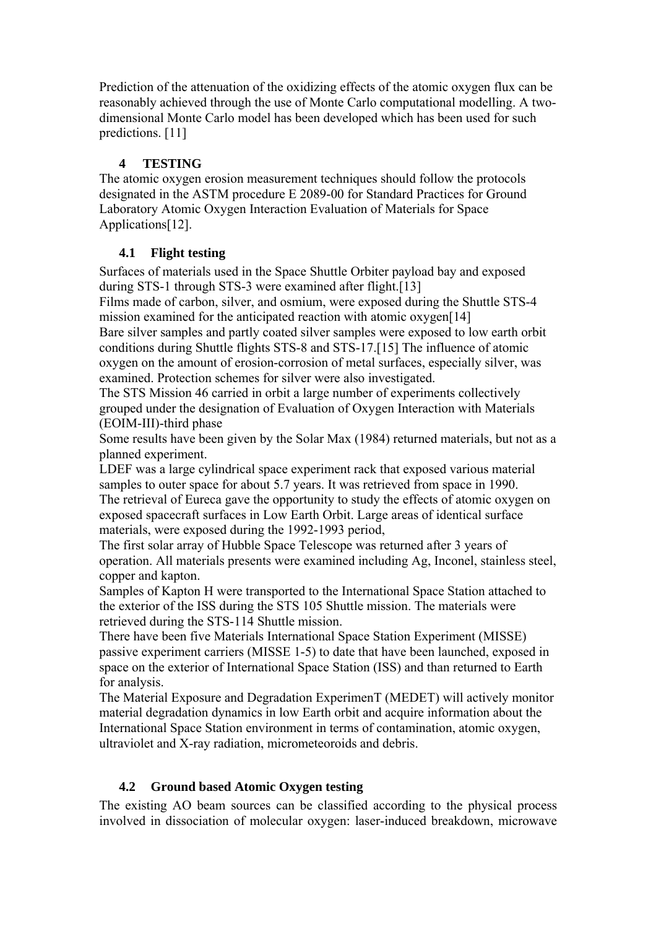Prediction of the attenuation of the oxidizing effects of the atomic oxygen flux can be reasonably achieved through the use of Monte Carlo computational modelling. A twodimensional Monte Carlo model has been developed which has been used for such predictions. [11]

## **4 TESTING**

The atomic oxygen erosion measurement techniques should follow the protocols designated in the ASTM procedure E 2089-00 for Standard Practices for Ground Laboratory Atomic Oxygen Interaction Evaluation of Materials for Space Applications[12].

# **4.1 Flight testing**

Surfaces of materials used in the Space Shuttle Orbiter payload bay and exposed during STS-1 through STS-3 were examined after flight.[13]

Films made of carbon, silver, and osmium, were exposed during the Shuttle STS-4 mission examined for the anticipated reaction with atomic oxygen[14] Bare silver samples and partly coated silver samples were exposed to low earth orbit

conditions during Shuttle flights STS-8 and STS-17.[15] The influence of atomic oxygen on the amount of erosion-corrosion of metal surfaces, especially silver, was examined. Protection schemes for silver were also investigated.

The STS Mission 46 carried in orbit a large number of experiments collectively grouped under the designation of Evaluation of Oxygen Interaction with Materials (EOIM-III)-third phase

Some results have been given by the Solar Max (1984) returned materials, but not as a planned experiment.

LDEF was a large cylindrical space experiment rack that exposed various material samples to outer space for about 5.7 years. It was retrieved from space in 1990. The retrieval of Eureca gave the opportunity to study the effects of atomic oxygen on exposed spacecraft surfaces in Low Earth Orbit. Large areas of identical surface materials, were exposed during the 1992-1993 period,

The first solar array of Hubble Space Telescope was returned after 3 years of operation. All materials presents were examined including Ag, Inconel, stainless steel, copper and kapton.

Samples of Kapton H were transported to the International Space Station attached to the exterior of the ISS during the STS 105 Shuttle mission. The materials were retrieved during the STS-114 Shuttle mission.

There have been five Materials International Space Station Experiment (MISSE) passive experiment carriers (MISSE 1-5) to date that have been launched, exposed in space on the exterior of International Space Station (ISS) and than returned to Earth for analysis.

The Material Exposure and Degradation ExperimenT (MEDET) will actively monitor material degradation dynamics in low Earth orbit and acquire information about the International Space Station environment in terms of contamination, atomic oxygen, ultraviolet and X-ray radiation, micrometeoroids and debris.

# **4.2 Ground based Atomic Oxygen testing**

The existing AO beam sources can be classified according to the physical process involved in dissociation of molecular oxygen: laser-induced breakdown, microwave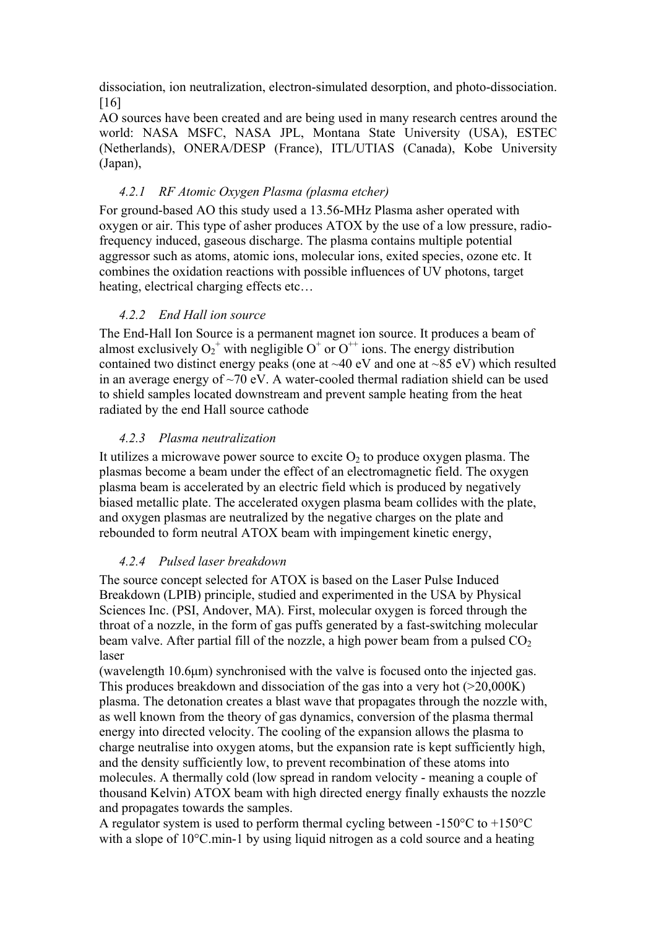dissociation, ion neutralization, electron-simulated desorption, and photo-dissociation. [16]

AO sources have been created and are being used in many research centres around the world: NASA MSFC, NASA JPL, Montana State University (USA), ESTEC (Netherlands), ONERA/DESP (France), ITL/UTIAS (Canada), Kobe University (Japan),

#### *4.2.1 RF Atomic Oxygen Plasma (plasma etcher)*

For ground-based AO this study used a 13.56-MHz Plasma asher operated with oxygen or air. This type of asher produces ATOX by the use of a low pressure, radiofrequency induced, gaseous discharge. The plasma contains multiple potential aggressor such as atoms, atomic ions, molecular ions, exited species, ozone etc. It combines the oxidation reactions with possible influences of UV photons, target heating, electrical charging effects etc…

#### *4.2.2 End Hall ion source*

The End-Hall Ion Source is a permanent magnet ion source. It produces a beam of almost exclusively  $O_2^+$  with negligible  $O^+$  or  $O^{++}$  ions. The energy distribution contained two distinct energy peaks (one at  $\sim$ 40 eV and one at  $\sim$ 85 eV) which resulted in an average energy of  $\sim$ 70 eV. A water-cooled thermal radiation shield can be used to shield samples located downstream and prevent sample heating from the heat radiated by the end Hall source cathode

#### *4.2.3 Plasma neutralization*

It utilizes a microwave power source to excite  $O_2$  to produce oxygen plasma. The plasmas become a beam under the effect of an electromagnetic field. The oxygen plasma beam is accelerated by an electric field which is produced by negatively biased metallic plate. The accelerated oxygen plasma beam collides with the plate, and oxygen plasmas are neutralized by the negative charges on the plate and rebounded to form neutral ATOX beam with impingement kinetic energy,

#### *4.2.4 Pulsed laser breakdown*

The source concept selected for ATOX is based on the Laser Pulse Induced Breakdown (LPIB) principle, studied and experimented in the USA by Physical Sciences Inc. (PSI, Andover, MA). First, molecular oxygen is forced through the throat of a nozzle, in the form of gas puffs generated by a fast-switching molecular beam valve. After partial fill of the nozzle, a high power beam from a pulsed  $CO<sub>2</sub>$ laser

(wavelength 10.6μm) synchronised with the valve is focused onto the injected gas. This produces breakdown and dissociation of the gas into a very hot  $(>20,000K)$ plasma. The detonation creates a blast wave that propagates through the nozzle with, as well known from the theory of gas dynamics, conversion of the plasma thermal energy into directed velocity. The cooling of the expansion allows the plasma to charge neutralise into oxygen atoms, but the expansion rate is kept sufficiently high, and the density sufficiently low, to prevent recombination of these atoms into molecules. A thermally cold (low spread in random velocity - meaning a couple of thousand Kelvin) ATOX beam with high directed energy finally exhausts the nozzle and propagates towards the samples.

A regulator system is used to perform thermal cycling between -150°C to +150°C with a slope of 10<sup>o</sup>C, min-1 by using liquid nitrogen as a cold source and a heating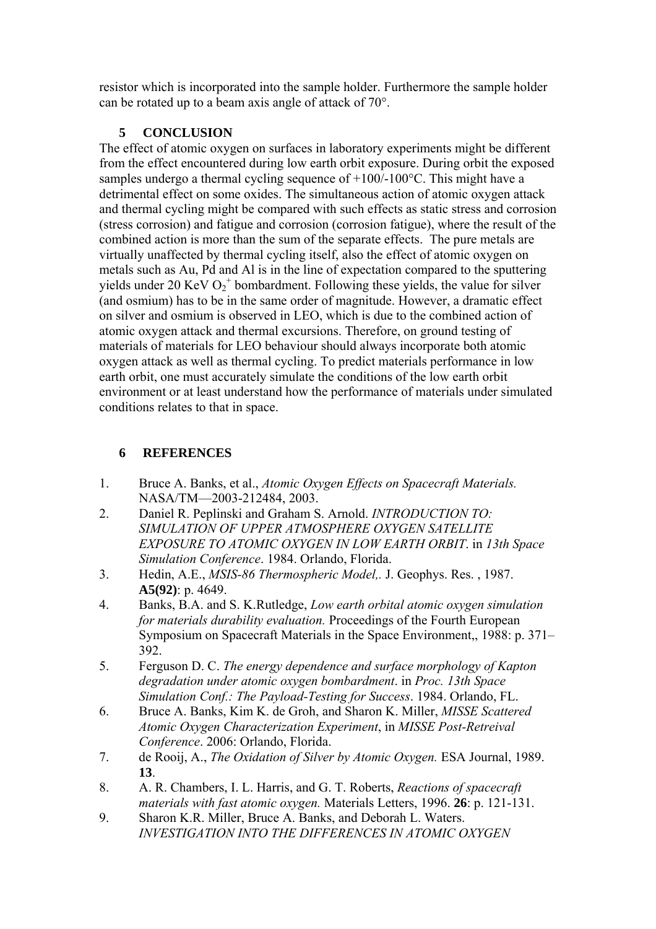resistor which is incorporated into the sample holder. Furthermore the sample holder can be rotated up to a beam axis angle of attack of 70°.

### **5 CONCLUSION**

The effect of atomic oxygen on surfaces in laboratory experiments might be different from the effect encountered during low earth orbit exposure. During orbit the exposed samples undergo a thermal cycling sequence of  $+100/-100$ °C. This might have a detrimental effect on some oxides. The simultaneous action of atomic oxygen attack and thermal cycling might be compared with such effects as static stress and corrosion (stress corrosion) and fatigue and corrosion (corrosion fatigue), where the result of the combined action is more than the sum of the separate effects. The pure metals are virtually unaffected by thermal cycling itself, also the effect of atomic oxygen on metals such as Au, Pd and Al is in the line of expectation compared to the sputtering yields under 20 KeV  $O_2^+$  bombardment. Following these yields, the value for silver (and osmium) has to be in the same order of magnitude. However, a dramatic effect on silver and osmium is observed in LEO, which is due to the combined action of atomic oxygen attack and thermal excursions. Therefore, on ground testing of materials of materials for LEO behaviour should always incorporate both atomic oxygen attack as well as thermal cycling. To predict materials performance in low earth orbit, one must accurately simulate the conditions of the low earth orbit environment or at least understand how the performance of materials under simulated conditions relates to that in space.

### **6 REFERENCES**

- 1. Bruce A. Banks, et al., *Atomic Oxygen Effects on Spacecraft Materials.* NASA/TM—2003-212484, 2003.
- 2. Daniel R. Peplinski and Graham S. Arnold. *INTRODUCTION TO: SIMULATION OF UPPER ATMOSPHERE OXYGEN SATELLITE EXPOSURE TO ATOMIC OXYGEN IN LOW EARTH ORBIT*. in *13th Space Simulation Conference*. 1984. Orlando, Florida.
- 3. Hedin, A.E., *MSIS-86 Thermospheric Model,.* J. Geophys. Res. , 1987. **A5(92)**: p. 4649.
- 4. Banks, B.A. and S. K.Rutledge, *Low earth orbital atomic oxygen simulation for materials durability evaluation.* Proceedings of the Fourth European Symposium on Spacecraft Materials in the Space Environment,, 1988: p. 371– 392.
- 5. Ferguson D. C. *The energy dependence and surface morphology of Kapton degradation under atomic oxygen bombardment*. in *Proc. 13th Space Simulation Conf.: The Payload-Testing for Success*. 1984. Orlando, FL.
- 6. Bruce A. Banks, Kim K. de Groh, and Sharon K. Miller, *MISSE Scattered Atomic Oxygen Characterization Experiment*, in *MISSE Post-Retreival Conference*. 2006: Orlando, Florida.
- 7. de Rooij, A., *The Oxidation of Silver by Atomic Oxygen.* ESA Journal, 1989. **13**.
- 8. A. R. Chambers, I. L. Harris, and G. T. Roberts, *Reactions of spacecraft materials with fast atomic oxygen.* Materials Letters, 1996. **26**: p. 121-131.
- 9. Sharon K.R. Miller, Bruce A. Banks, and Deborah L. Waters. *INVESTIGATION INTO THE DIFFERENCES IN ATOMIC OXYGEN*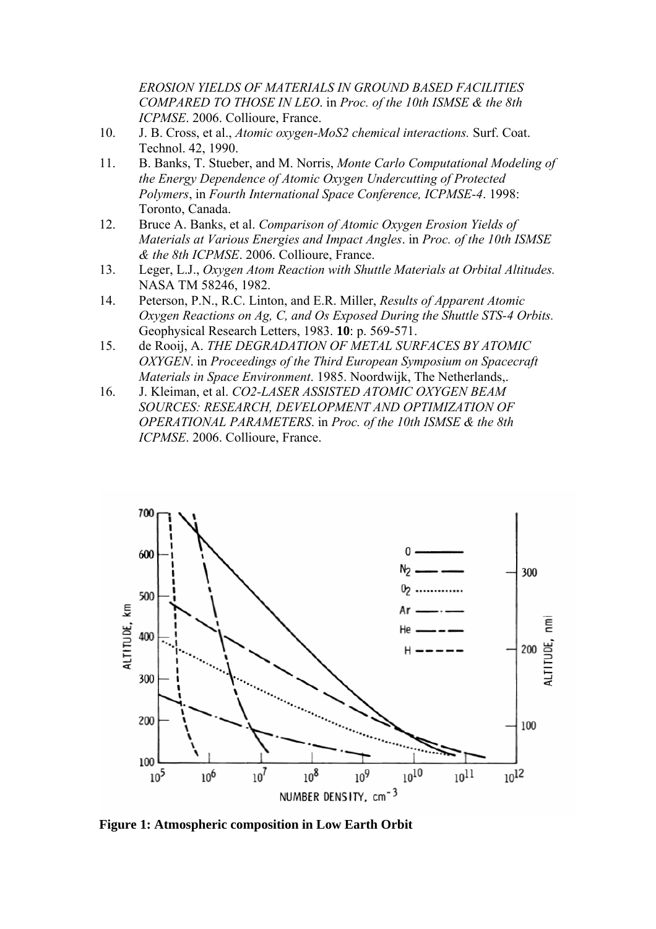*EROSION YIELDS OF MATERIALS IN GROUND BASED FACILITIES COMPARED TO THOSE IN LEO*. in *Proc. of the 10th ISMSE & the 8th ICPMSE*. 2006. Collioure, France.

- 10. J. B. Cross, et al., *Atomic oxygen-MoS2 chemical interactions.* Surf. Coat. Technol. 42, 1990.
- 11. B. Banks, T. Stueber, and M. Norris, *Monte Carlo Computational Modeling of the Energy Dependence of Atomic Oxygen Undercutting of Protected Polymers*, in *Fourth International Space Conference, ICPMSE-4*. 1998: Toronto, Canada.
- 12. Bruce A. Banks, et al. *Comparison of Atomic Oxygen Erosion Yields of Materials at Various Energies and Impact Angles*. in *Proc. of the 10th ISMSE & the 8th ICPMSE*. 2006. Collioure, France.
- 13. Leger, L.J., *Oxygen Atom Reaction with Shuttle Materials at Orbital Altitudes.* NASA TM 58246, 1982.
- 14. Peterson, P.N., R.C. Linton, and E.R. Miller, *Results of Apparent Atomic Oxygen Reactions on Ag, C, and Os Exposed During the Shuttle STS-4 Orbits.* Geophysical Research Letters, 1983. **10**: p. 569-571.
- 15. de Rooij, A. *THE DEGRADATION OF METAL SURFACES BY ATOMIC OXYGEN*. in *Proceedings of the Third European Symposium on Spacecraft Materials in Space Environment*. 1985. Noordwijk, The Netherlands,.
- 16. J. Kleiman, et al. *CO2-LASER ASSISTED ATOMIC OXYGEN BEAM SOURCES: RESEARCH, DEVELOPMENT AND OPTIMIZATION OF OPERATIONAL PARAMETERS*. in *Proc. of the 10th ISMSE & the 8th ICPMSE*. 2006. Collioure, France.



**Figure 1: Atmospheric composition in Low Earth Orbit**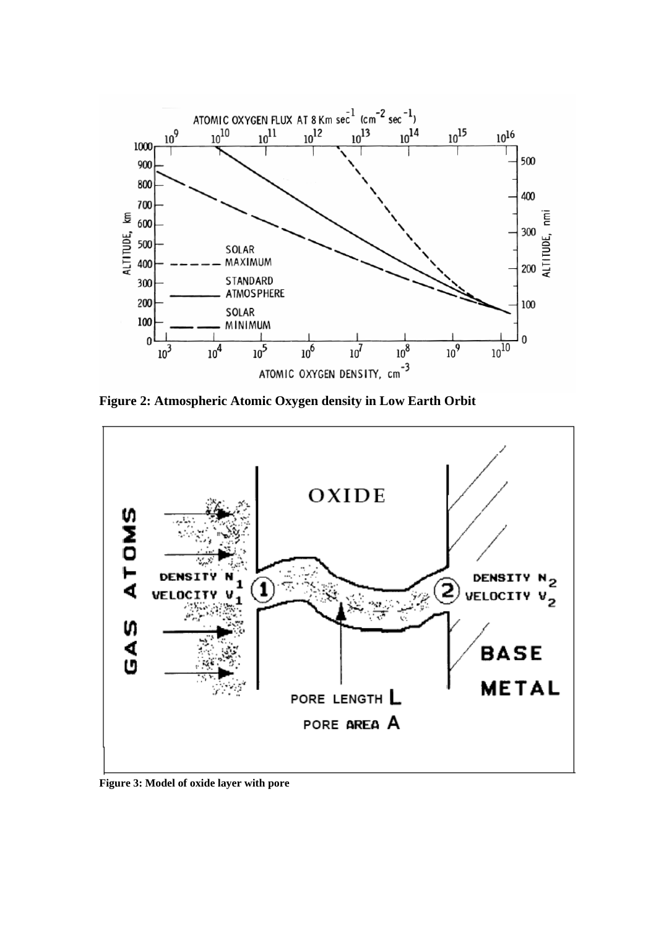

**Figure 2: Atmospheric Atomic Oxygen density in Low Earth Orbit** 



**Figure 3: Model of oxide layer with pore**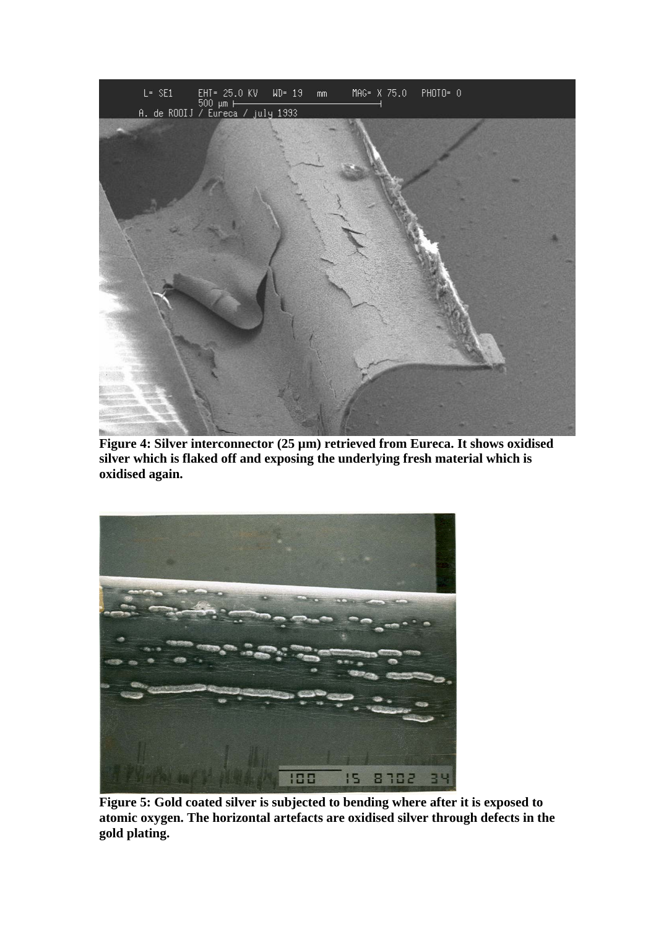

**Figure 4: Silver interconnector (25 µm) retrieved from Eureca. It shows oxidised silver which is flaked off and exposing the underlying fresh material which is oxidised again.** 



**Figure 5: Gold coated silver is subjected to bending where after it is exposed to atomic oxygen. The horizontal artefacts are oxidised silver through defects in the gold plating.**